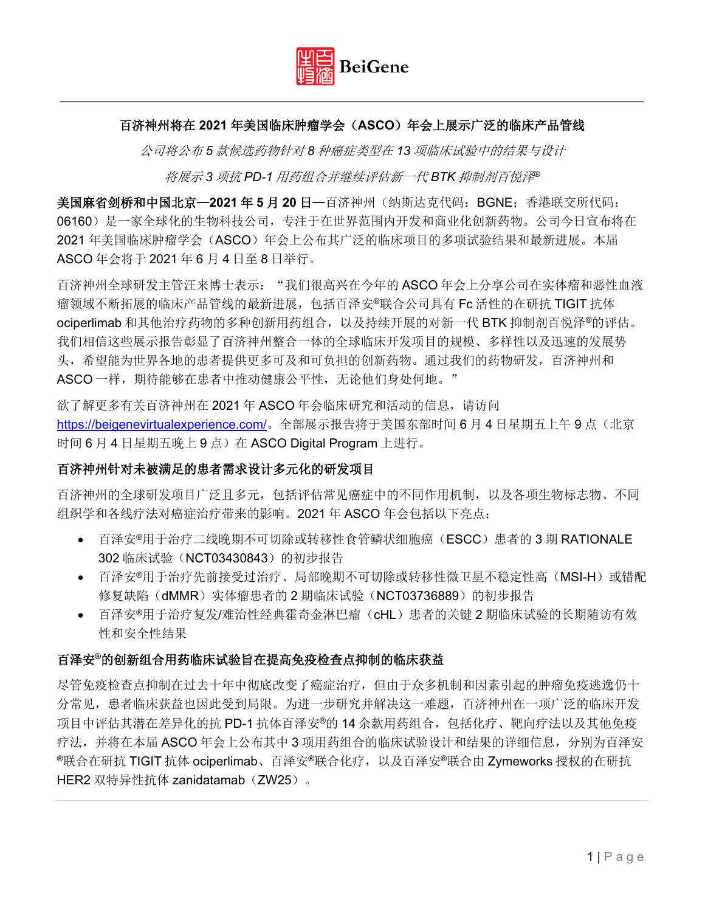

## 百济神州将在 **2021** 年美国临床肿瘤学会(**ASCO**)年会上展示广泛的临床产品管线

公司将公布 *5* 款候选药物针对 *8* 种癌症类型在 *13* 项临床试验中的结果与设计

将展示 *3* 项抗 *PD-1* 用药组合并继续评估新一代 *BTK* 抑制剂百悦泽*®*

美国麻省剑桥和中国北京—**2021** 年 **5** 月 **20** 日—百济神州(纳斯达克代码:BGNE;香港联交所代码: 06160)是一家全球化的生物科技公司,专注于在世界范围内开发和商业化创新药物。公司今日宣布将在 2021 年美国临床肿瘤学会(ASCO)年会上公布其广泛的临床项目的多项试验结果和最新进展。本届 ASCO 年会将于 2021 年 6 月 4 日至 8 日举行。

百济神州全球研发主管汪来博士表示: "我们很高兴在今年的 ASCO 年会上分享公司在实体瘤和恶性血液 瘤领域不断拓展的临床产品管线的最新进展,包括百泽安®联合公司具有 Fc 活性的在研抗 TIGIT 抗体 ociperlimab 和其他治疗药物的多种创新用药组合, 以及持续开展的对新一代 BTK 抑制剂百悦泽®的评估。 我们相信这些展示报告彰显了百济神州整合一体的全球临床开发项目的规模、多样性以及迅速的发展势 头,希望能为世界各地的患者提供更多可及和可负担的创新药物。通过我们的药物研发,百济神州和 ASCO 一样, 期待能够在患者中推动健康公平性, 无论他们身处何地。"

欲了解更多有关百济神州在 2021 年 ASCO 年会临床研究和活动的信息, 请访问 <https://beigenevirtualexperience.com/>。全部展示报告将于美国东部时间 6 月 4 日星期五上午 9 点(北京 时间 6 月 4 日星期五晚上 9 点) 在 ASCO Digital Program 上进行。

### 百济神州针对未被满足的患者需求设计多元化的研发项目

百济神州的全球研发项目广泛且多元,包括评估常见癌症中的不同作用机制,以及各项生物标志物、不同 组织学和各线疗法对癌症治疗带来的影响。2021 年 ASCO 年会包括以下亮点:

- 百泽安®用于治疗二线晚期不可切除或转移性食管鳞状细胞癌(ESCC)患者的 3 期 RATIONALE 302 临床试验(NCT03430843)的初步报告
- 百泽安®用于治疗先前接受过治疗、局部晚期不可切除或转移性微卫星不稳定性高(MSI-H)或错配 修复缺陷(dMMR)实体瘤患者的 2 期临床试验(NCT03736889)的初步报告
- 百泽安®用于治疗复发/难治性经典霍奇金淋巴瘤(cHL)患者的关键 2 期临床试验的长期随访有效 性和安全性结果

### 百泽安**®**的创新组合用药临床试验旨在提高免疫检查点抑制的临床获益

尽管免疫检查点抑制在过去十年中彻底改变了癌症治疗,但由于众多机制和因素引起的肿瘤免疫逃逸仍十 分常见,患者临床获益也因此受到局限。为进一步研究并解决这一难题,百济神州在一项广泛的临床开发 项目中评估其潜在差异化的抗 PD-1 抗体百泽安®的 14 余款用药组合,包括化疗、靶向疗法以及其他免疫 疗法,并将在本届 ASCO 年会上公布其中 3 项用药组合的临床试验设计和结果的详细信息, 分别为百泽安 ®联合在研抗 TIGIT 抗体 ociperlimab、百泽安®联合化疗,以及百泽安®联合由 Zymeworks 授权的在研抗 HER2 双特异性抗体 zanidatamab (ZW25)。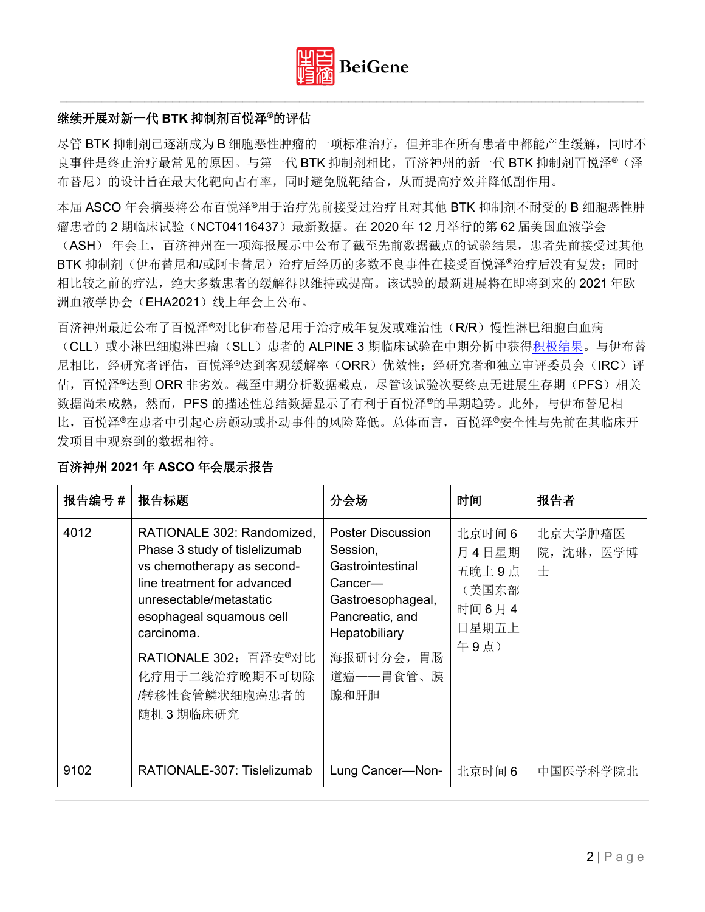

### 继续开展对新一代 **BTK** 抑制剂百悦泽**®**的评估

尽管 BTK 抑制剂已逐渐成为 B 细胞恶性肿瘤的一项标准治疗, 但并非在所有患者中都能产生缓解, 同时不 良事件是终止治疗最常见的原因。与第一代 BTK 抑制剂相比,百济神州的新一代 BTK 抑制剂百悦泽® (泽 布替尼)的设计旨在最大化靶向占有率,同时避免脱靶结合,从而提高疗效并降低副作用。

本届 ASCO 年会摘要将公布百悦泽®用于治疗先前接受过治疗且对其他 BTK 抑制剂不耐受的 B 细胞恶性肿 瘤患者的 2 期临床试验(NCT04116437)最新数据。在 2020 年 12 月举行的第 62 届美国血液学会 (ASH) 年会上,百济神州在一项海报展示中公布了截至先前数据截点的试验结果,患者先前接受过其他 BTK 抑制剂(伊布替尼和/或阿卡替尼)治疗后经历的多数不良事件在接受百悦泽®治疗后没有复发;同时 相比较之前的疗法,绝大多数患者的缓解得以维持或提高。该试验的最新进展将在即将到来的 2021 年欧

洲血液学协会(EHA2021)线上年会上公布。

百济神州最近公布了百悦泽®对比伊布替尼用于治疗成年复发或难治性(R/R)慢性淋巴细胞白血病 (CLL)或小淋巴细胞淋巴瘤(SLL)患者的 ALPINE 3 期临床试验在中期分析中获[得积极结果。](https://ir.beigene.com/static-files/64a2bdf3-bdba-4318-b7e5-48ffb3e05f4d)与伊布替 尼相比,经研究者评估,百悦泽®达到客观缓解率(ORR)优效性;经研究者和独立审评委员会(IRC)评 估,百悦泽®达到 ORR 非劣效。截至中期分析数据截点,尽管该试验次要终点无进展生存期(PFS)相关 数据尚未成熟,然而,PFS 的描述性总结数据显示了有利于百悦泽®的早期趋势。此外,与伊布替尼相 比,百悦泽®在患者中引起心房颤动或扑动事件的风险降低。总体而言,百悦泽®安全性与先前在其临床开 发项目中观察到的数据相符。

| 报告编号 # | 报告标题                                                                                                                                                                                                                                                                                  | 分会场                                                                                                                                                            | 时间                                                          | 报告者                        |
|--------|---------------------------------------------------------------------------------------------------------------------------------------------------------------------------------------------------------------------------------------------------------------------------------------|----------------------------------------------------------------------------------------------------------------------------------------------------------------|-------------------------------------------------------------|----------------------------|
| 4012   | RATIONALE 302: Randomized,<br>Phase 3 study of tislelizumab<br>vs chemotherapy as second-<br>line treatment for advanced<br>unresectable/metastatic<br>esophageal squamous cell<br>carcinoma.<br>RATIONALE 302: 百泽安 <sup>®</sup> 对比<br>化疗用于二线治疗晚期不可切除<br>/转移性食管鳞状细胞癌患者的<br>随机 3 期临床研究 | <b>Poster Discussion</b><br>Session,<br>Gastrointestinal<br>Cancer—<br>Gastroesophageal,<br>Pancreatic, and<br>Hepatobiliary<br>海报研讨分会,胃肠<br>道癌——胃食管、胰<br>腺和肝胆 | 北京时间 6<br>月4日星期<br>五晚上9点<br>(美国东部<br>时间6月4<br>日星期五上<br>午9点) | 北京大学肿瘤医<br>院, 沈琳, 医学博<br>士 |
| 9102   | RATIONALE-307: Tislelizumab                                                                                                                                                                                                                                                           | Lung Cancer-Non-                                                                                                                                               | 北京时间 6                                                      | 中国医学科学院北                   |

### 百济神州 **2021** 年 **ASCO** 年会展示报告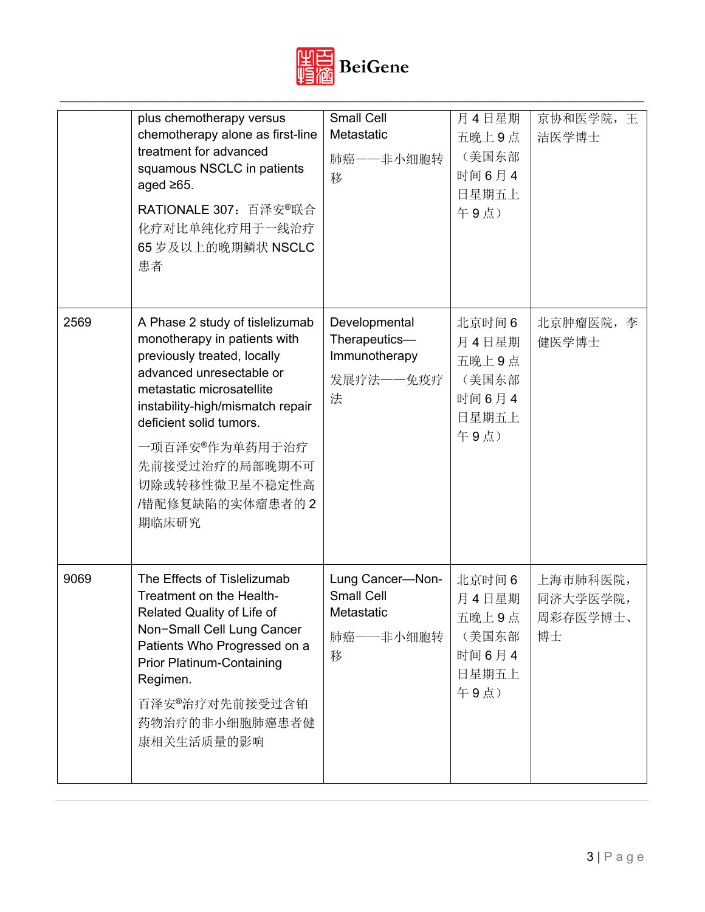

|      | plus chemotherapy versus<br>chemotherapy alone as first-line<br>treatment for advanced<br>squamous NSCLC in patients<br>aged $\geq 65$ .<br>RATIONALE 307: 百泽安 <sup>®</sup> 联合<br>化疗对比单纯化疗用于一线治疗<br>65 岁及以上的晚期鳞状 NSCLC<br>患者                                                                             | Small Cell<br>Metastatic<br>肺癌——非小细胞转<br>移                            | 月4日星期<br>五晚上9点<br>(美国东部<br>时间6月4<br>日星期五上<br>午9点)          | 京协和医学院, 王<br>洁医学博士                     |
|------|----------------------------------------------------------------------------------------------------------------------------------------------------------------------------------------------------------------------------------------------------------------------------------------------------------|-----------------------------------------------------------------------|------------------------------------------------------------|----------------------------------------|
| 2569 | A Phase 2 study of tislelizumab<br>monotherapy in patients with<br>previously treated, locally<br>advanced unresectable or<br>metastatic microsatellite<br>instability-high/mismatch repair<br>deficient solid tumors.<br>一项百泽安®作为单药用于治疗<br>先前接受过治疗的局部晚期不可<br>切除或转移性微卫星不稳定性高<br>/错配修复缺陷的实体瘤患者的2<br>期临床研究 | Developmental<br>Therapeutics-<br>Immunotherapy<br>发展疗法——免疫疗<br>法     | 北京时间6<br>月4日星期<br>五晚上9点<br>(美国东部<br>时间6月4<br>日星期五上<br>午9点) | 北京肿瘤医院, 李<br>健医学博士                     |
| 9069 | The Effects of Tislelizumab<br>Treatment on the Health-<br>Related Quality of Life of<br>Non-Small Cell Lung Cancer<br>Patients Who Progressed on a<br><b>Prior Platinum-Containing</b><br>Regimen.<br>百泽安®治疗对先前接受过含铂<br>药物治疗的非小细胞肺癌患者健<br>康相关生活质量的影响                                                    | Lung Cancer-Non-<br><b>Small Cell</b><br>Metastatic<br>肺癌——非小细胞转<br>移 | 北京时间6<br>月4日星期<br>五晚上9点<br>(美国东部<br>时间6月4<br>日星期五上<br>午9点) | 上海市肺科医院,<br>同济大学医学院,<br>周彩存医学博士、<br>博士 |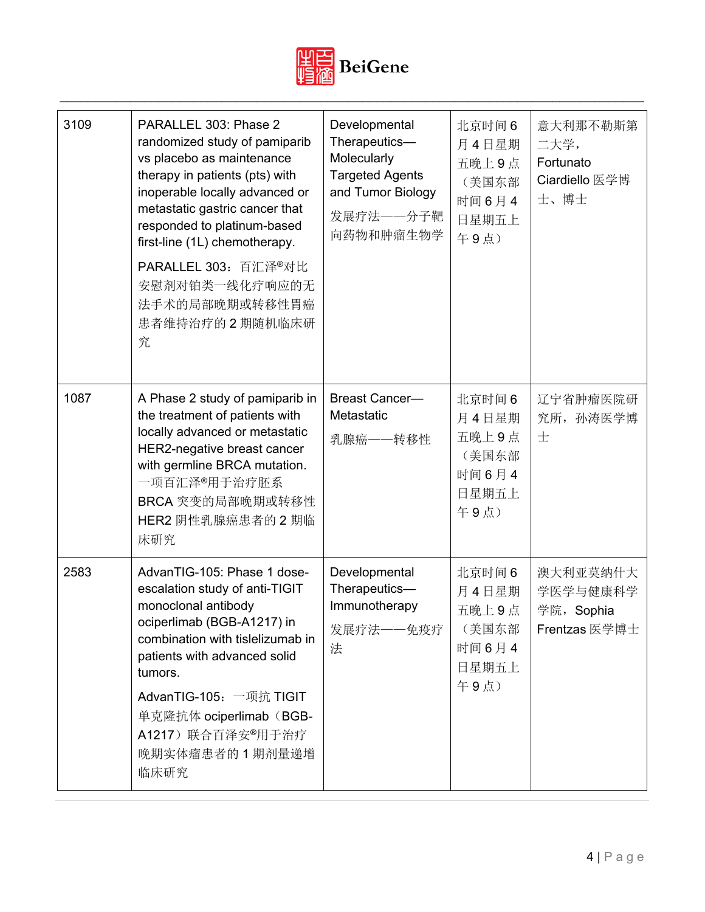

| 3109 | PARALLEL 303: Phase 2<br>randomized study of pamiparib<br>vs placebo as maintenance<br>therapy in patients (pts) with<br>inoperable locally advanced or<br>metastatic gastric cancer that<br>responded to platinum-based<br>first-line (1L) chemotherapy.<br>PARALLEL 303: 百汇泽®对比<br>安慰剂对铂类一线化疗响应的无<br>法手术的局部晚期或转移性胃癌<br>患者维持治疗的2期随机临床研<br>究 | Developmental<br>Therapeutics-<br>Molecularly<br><b>Targeted Agents</b><br>and Tumor Biology<br>发展疗法——分子靶<br>向药物和肿瘤生物学 | 北京时间6<br>月4日星期<br>五晚上9点<br>(美国东部<br>时间6月4<br>日星期五上<br>午9点)  | 意大利那不勒斯第<br>二大学,<br>Fortunato<br>Ciardiello 医学博<br>士、博士 |
|------|----------------------------------------------------------------------------------------------------------------------------------------------------------------------------------------------------------------------------------------------------------------------------------------------------------------------------------------------|------------------------------------------------------------------------------------------------------------------------|-------------------------------------------------------------|---------------------------------------------------------|
| 1087 | A Phase 2 study of pamiparib in<br>the treatment of patients with<br>locally advanced or metastatic<br>HER2-negative breast cancer<br>with germline BRCA mutation.<br>一项百汇泽®用于治疗胚系<br>BRCA 突变的局部晚期或转移性<br>HER2 阴性乳腺癌患者的 2 期临<br>床研究                                                                                                          | <b>Breast Cancer-</b><br>Metastatic<br>乳腺癌——转移性                                                                        | 北京时间 6<br>月4日星期<br>五晚上9点<br>(美国东部<br>时间6月4<br>日星期五上<br>午9点) | 辽宁省肿瘤医院研<br>究所, 孙涛医学博<br>士                              |
| 2583 | AdvanTIG-105: Phase 1 dose-<br>escalation study of anti-TIGIT<br>monoclonal antibody<br>ociperlimab (BGB-A1217) in<br>combination with tislelizumab in<br>patients with advanced solid<br>tumors.<br>AdvanTIG-105: 一项抗 TIGIT<br>单克隆抗体 ociperlimab (BGB-<br>A1217) 联合百泽安®用于治疗<br>晚期实体瘤患者的1期剂量递增<br>临床研究                                       | Developmental<br>Therapeutics-<br>Immunotherapy<br>发展疗法——免疫疗<br>法                                                      | 北京时间6<br>月4日星期<br>五晚上9点<br>(美国东部<br>时间6月4<br>日星期五上<br>午9点)  | 澳大利亚莫纳什大<br>学医学与健康科学<br>学院, Sophia<br>Frentzas 医学博士     |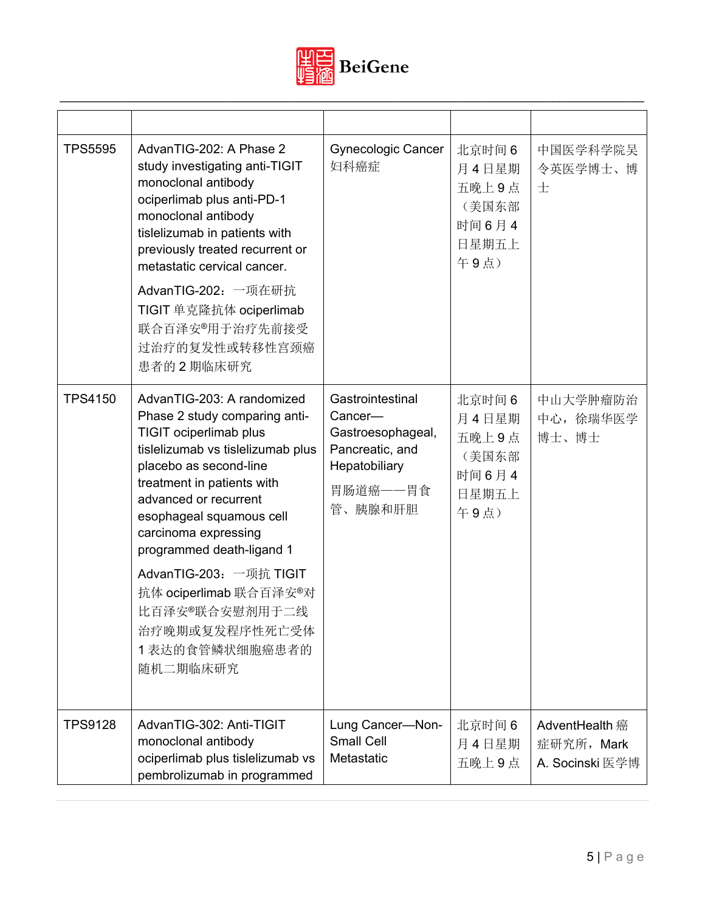

| <b>TPS5595</b> | AdvanTIG-202: A Phase 2<br>study investigating anti-TIGIT<br>monoclonal antibody<br>ociperlimab plus anti-PD-1<br>monoclonal antibody<br>tislelizumab in patients with<br>previously treated recurrent or<br>metastatic cervical cancer.<br>AdvanTIG-202: 一项在研抗<br>TIGIT 单克隆抗体 ociperlimab<br>联合百泽安 <sup>®</sup> 用于治疗先前接受<br>过治疗的复发性或转移性宫颈癌<br>患者的2期临床研究                                                             | <b>Gynecologic Cancer</b><br>妇科癌症                                                                           | 北京时间 6<br>月4日星期<br>五晚上9点<br>(美国东部<br>时间6月4<br>日星期五上<br>午9点) | 中国医学科学院吴<br>令英医学博士、博<br>士                       |
|----------------|----------------------------------------------------------------------------------------------------------------------------------------------------------------------------------------------------------------------------------------------------------------------------------------------------------------------------------------------------------------------------------------------------------------------|-------------------------------------------------------------------------------------------------------------|-------------------------------------------------------------|-------------------------------------------------|
| <b>TPS4150</b> | AdvanTIG-203: A randomized<br>Phase 2 study comparing anti-<br>TIGIT ociperlimab plus<br>tislelizumab vs tislelizumab plus<br>placebo as second-line<br>treatment in patients with<br>advanced or recurrent<br>esophageal squamous cell<br>carcinoma expressing<br>programmed death-ligand 1<br>AdvanTIG-203: 一项抗 TIGIT<br>抗体 ociperlimab 联合百泽安®对<br>比百泽安®联合安慰剂用于二线<br>治疗晚期或复发程序性死亡受体<br>1 表达的食管鳞状细胞癌患者的<br>随机二期临床研究 | Gastrointestinal<br>Cancer-<br>Gastroesophageal,<br>Pancreatic, and<br>Hepatobiliary<br>胃肠道癌——胃食<br>管、胰腺和肝胆 | 北京时间 6<br>月4日星期<br>五晚上9点<br>(美国东部<br>时间6月4<br>日星期五上<br>午9点) | 中山大学肿瘤防治<br>中心, 徐瑞华医学<br>博士、博士                  |
| <b>TPS9128</b> | AdvanTIG-302: Anti-TIGIT<br>monoclonal antibody<br>ociperlimab plus tislelizumab vs<br>pembrolizumab in programmed                                                                                                                                                                                                                                                                                                   | Lung Cancer-Non-<br><b>Small Cell</b><br>Metastatic                                                         | 北京时间6<br>月4日星期<br>五晚上9点                                     | AdventHealth 癌<br>症研究所, Mark<br>A. Socinski 医学博 |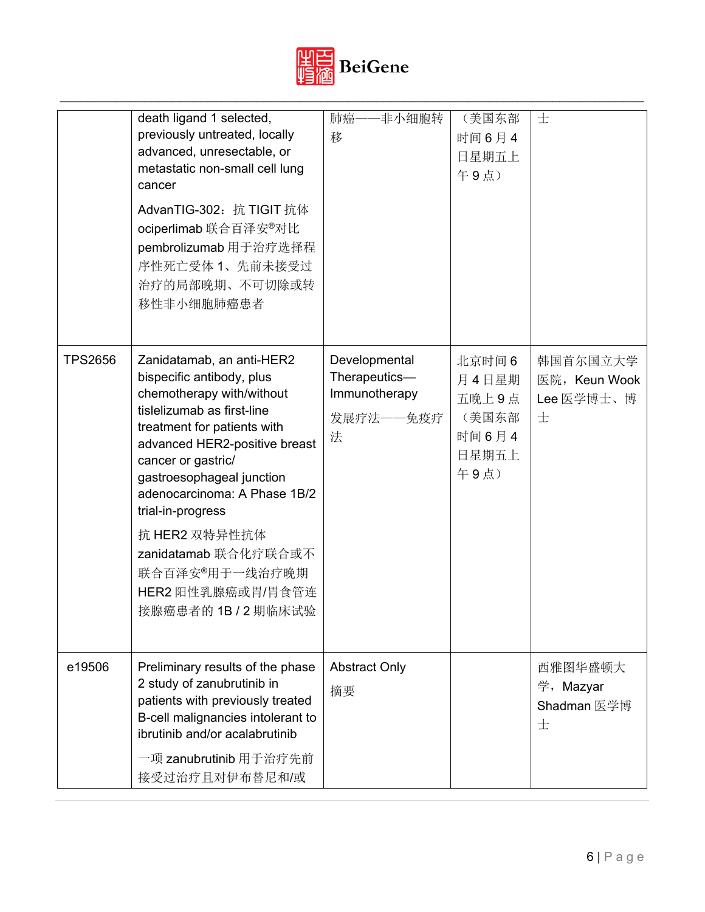

|                | death ligand 1 selected,<br>previously untreated, locally<br>advanced, unresectable, or<br>metastatic non-small cell lung<br>cancer<br>AdvanTIG-302: 抗 TIGIT 抗体<br>ociperlimab 联合百泽安®对比<br>pembrolizumab 用于治疗选择程<br>序性死亡受体 1、先前未接受过<br>治疗的局部晚期、不可切除或转<br>移性非小细胞肺癌患者                                                                                               | 肺癌一<br>非小细胞转<br>移                                                 | (美国东部<br>时间6月4<br>日星期五上<br>午9点)                            | 士                                            |
|----------------|-------------------------------------------------------------------------------------------------------------------------------------------------------------------------------------------------------------------------------------------------------------------------------------------------------------------------------------------------------------------|-------------------------------------------------------------------|------------------------------------------------------------|----------------------------------------------|
| <b>TPS2656</b> | Zanidatamab, an anti-HER2<br>bispecific antibody, plus<br>chemotherapy with/without<br>tislelizumab as first-line<br>treatment for patients with<br>advanced HER2-positive breast<br>cancer or gastric/<br>gastroesophageal junction<br>adenocarcinoma: A Phase 1B/2<br>trial-in-progress<br>抗 HER2 双特异性抗体<br>zanidatamab 联合化疗联合或不<br>联合百泽安 <sup>®</sup> 用于一线治疗晚期 | Developmental<br>Therapeutics-<br>Immunotherapy<br>发展疗法——免疫疗<br>法 | 北京时间6<br>月4日星期<br>五晚上9点<br>(美国东部<br>时间6月4<br>日星期五上<br>午9点) | 韩国首尔国立大学<br>医院, Keun Wook<br>Lee 医学博士、博<br>士 |
|                | HER2 阳性乳腺癌或胃/胃食管连<br>接腺癌患者的 1B / 2 期临床试验                                                                                                                                                                                                                                                                                                                          |                                                                   |                                                            |                                              |
| e19506         | Preliminary results of the phase<br>2 study of zanubrutinib in<br>patients with previously treated<br>B-cell malignancies intolerant to<br>ibrutinib and/or acalabrutinib<br>一项 zanubrutinib 用于治疗先前<br>接受过治疗且对伊布替尼和/或                                                                                                                                             | <b>Abstract Only</b><br>摘要                                        |                                                            | 西雅图华盛顿大<br>学, Mazyar<br>Shadman 医学博<br>士     |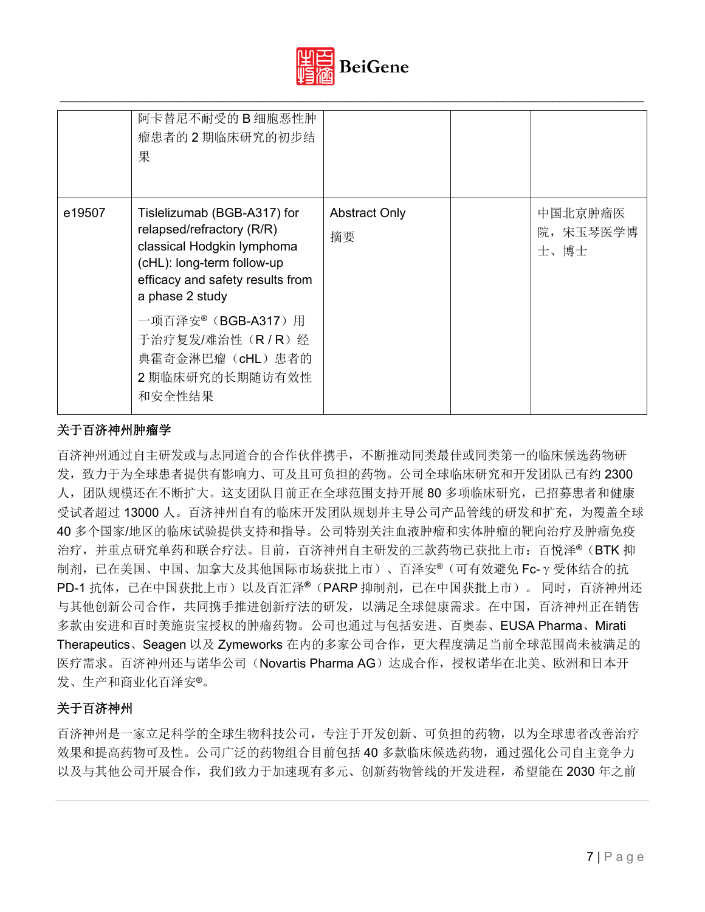

|        | 阿卡替尼不耐受的 B 细胞恶性肿<br>瘤患者的2期临床研究的初步结<br>果                                                                                                                                                                                        |                            |                             |
|--------|--------------------------------------------------------------------------------------------------------------------------------------------------------------------------------------------------------------------------------|----------------------------|-----------------------------|
| e19507 | Tislelizumab (BGB-A317) for<br>relapsed/refractory (R/R)<br>classical Hodgkin lymphoma<br>(cHL): long-term follow-up<br>efficacy and safety results from<br>a phase 2 study<br>一项百泽安®( <b>BGB-A317</b> )用<br>于治疗复发/难治性 (R/R) 经 | <b>Abstract Only</b><br>摘要 | 中国北京肿瘤医<br>院,宋玉琴医学博<br>士、博士 |
|        | 典霍奇金淋巴瘤 (cHL) 患者的<br>2 期临床研究的长期随访有效性<br>和安全性结果                                                                                                                                                                                 |                            |                             |

## 关于百济神州肿瘤学

百济神州通过自主研发或与志同道合的合作伙伴携手,不断推动同类最佳或同类第一的临床候选药物研 发,致力于为全球患者提供有影响力、可及且可负担的药物。公司全球临床研究和开发团队已有约 2300 人,团队规模还在不断扩大。这支团队目前正在全球范围支持开展 80 多项临床研究,已招募患者和健康 受试者超过 13000 人。百济神州自有的临床开发团队规划并主导公司产品管线的研发和扩充,为覆盖全球 40 多个国家/地区的临床试验提供支持和指导。公司特别关注血液肿瘤和实体肿瘤的靶向治疗及肿瘤免疫 治疗,并重点研究单药和联合疗法。目前,百济神州自主研发的三款药物已获批上市:百悦泽®(BTK 抑 制剂,已在美国、中国、加拿大及其他国际市场获批上市)、百泽安®(可有效避免 Fc-γ受体结合的抗 PD-1 抗体,已在中国获批上市)以及百汇泽**®**(PARP 抑制剂,已在中国获批上市)。 同时,百济神州还 与其他创新公司合作,共同携手推进创新疗法的研发,以满足全球健康需求。在中国,百济神州正在销售 多款由安进和百时美施贵宝授权的肿瘤药物。公司也通过与包括安进、百奥泰、EUSA Pharma、Mirati Therapeutics、Seagen 以及 Zymeworks 在内的多家公司合作,更大程度满足当前全球范围尚未被满足的 医疗需求。百济神州还与诺华公司(Novartis Pharma AG)达成合作,授权诺华在北美、欧洲和日本开 发、生产和商业化百泽安®。

# 关于百济神州

百济神州是一家立足科学的全球生物科技公司,专注于开发创新、可负担的药物,以为全球患者改善治疗 效果和提高药物可及性。公司广泛的药物组合目前包括 40 多款临床候选药物,通过强化公司自主竞争力 以及与其他公司开展合作,我们致力于加速现有多元、创新药物管线的开发进程,希望能在 2030 年之前